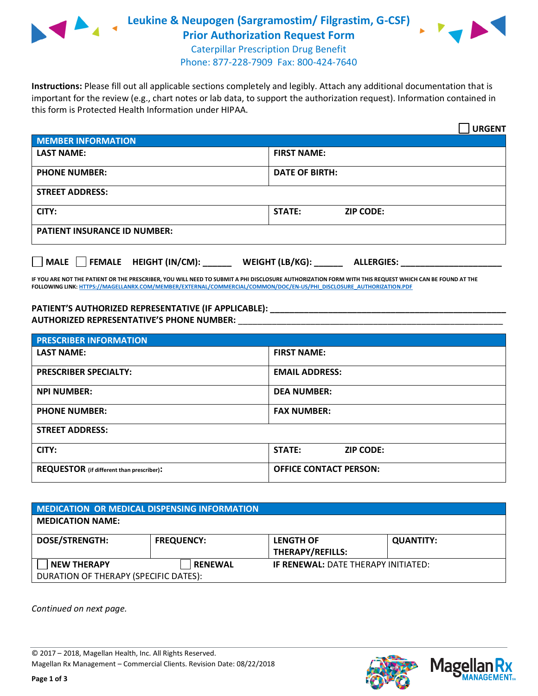

**Leukine & Neupogen (Sargramostim/ Filgrastim, G-CSF) Prior Authorization Request Form**



Caterpillar Prescription Drug Benefit Phone: 877-228-7909 Fax: 800-424-7640

**Instructions:** Please fill out all applicable sections completely and legibly. Attach any additional documentation that is important for the review (e.g., chart notes or lab data, to support the authorization request). Information contained in this form is Protected Health Information under HIPAA.

|                                       | <b>URGENT</b>                        |  |  |  |
|---------------------------------------|--------------------------------------|--|--|--|
| <b>MEMBER INFORMATION</b>             |                                      |  |  |  |
| <b>LAST NAME:</b>                     | <b>FIRST NAME:</b>                   |  |  |  |
| <b>PHONE NUMBER:</b>                  | <b>DATE OF BIRTH:</b>                |  |  |  |
| <b>STREET ADDRESS:</b>                |                                      |  |  |  |
| CITY:                                 | <b>STATE:</b><br><b>ZIP CODE:</b>    |  |  |  |
| <b>PATIENT INSURANCE ID NUMBER:</b>   |                                      |  |  |  |
| FEMALE HEIGHT (IN/CM):<br><b>MALE</b> | WEIGHT (LB/KG):<br><b>ALLERGIES:</b> |  |  |  |

**IF YOU ARE NOT THE PATIENT OR THE PRESCRIBER, YOU WILL NEED TO SUBMIT A PHI DISCLOSURE AUTHORIZATION FORM WITH THIS REQUEST WHICH CAN BE FOUND AT THE FOLLOWING LINK[: HTTPS://MAGELLANRX.COM/MEMBER/EXTERNAL/COMMERCIAL/COMMON/DOC/EN-US/PHI\\_DISCLOSURE\\_AUTHORIZATION.PDF](https://magellanrx.com/member/external/commercial/common/doc/en-us/PHI_Disclosure_Authorization.pdf)**

PATIENT'S AUTHORIZED REPRESENTATIVE (IF APPLICABLE): **\_\_\_\_\_\_\_\_\_\_\_\_\_\_\_ AUTHORIZED REPRESENTATIVE'S PHONE NUMBER:** \_\_\_\_\_\_\_\_\_\_\_\_\_\_\_\_\_\_\_\_\_\_\_\_\_\_\_\_\_\_\_\_\_\_\_\_\_\_\_\_\_\_\_\_\_\_\_\_\_\_\_\_\_\_\_

| <b>PRESCRIBER INFORMATION</b>             |                               |  |  |  |
|-------------------------------------------|-------------------------------|--|--|--|
| <b>LAST NAME:</b>                         | <b>FIRST NAME:</b>            |  |  |  |
| <b>PRESCRIBER SPECIALTY:</b>              | <b>EMAIL ADDRESS:</b>         |  |  |  |
| <b>NPI NUMBER:</b>                        | <b>DEA NUMBER:</b>            |  |  |  |
| <b>PHONE NUMBER:</b>                      | <b>FAX NUMBER:</b>            |  |  |  |
| <b>STREET ADDRESS:</b>                    |                               |  |  |  |
| CITY:                                     | STATE:<br><b>ZIP CODE:</b>    |  |  |  |
| REQUESTOR (if different than prescriber): | <b>OFFICE CONTACT PERSON:</b> |  |  |  |

| <b>MEDICATION OR MEDICAL DISPENSING INFORMATION</b> |                   |                                             |                  |  |  |
|-----------------------------------------------------|-------------------|---------------------------------------------|------------------|--|--|
| <b>MEDICATION NAME:</b>                             |                   |                                             |                  |  |  |
| <b>DOSE/STRENGTH:</b>                               | <b>FREQUENCY:</b> | <b>LENGTH OF</b><br><b>THERAPY/REFILLS:</b> | <b>QUANTITY:</b> |  |  |
| <b>NEW THERAPY</b>                                  | <b>RENEWAL</b>    | <b>IF RENEWAL: DATE THERAPY INITIATED:</b>  |                  |  |  |
| DURATION OF THERAPY (SPECIFIC DATES):               |                   |                                             |                  |  |  |

*Continued on next page.*



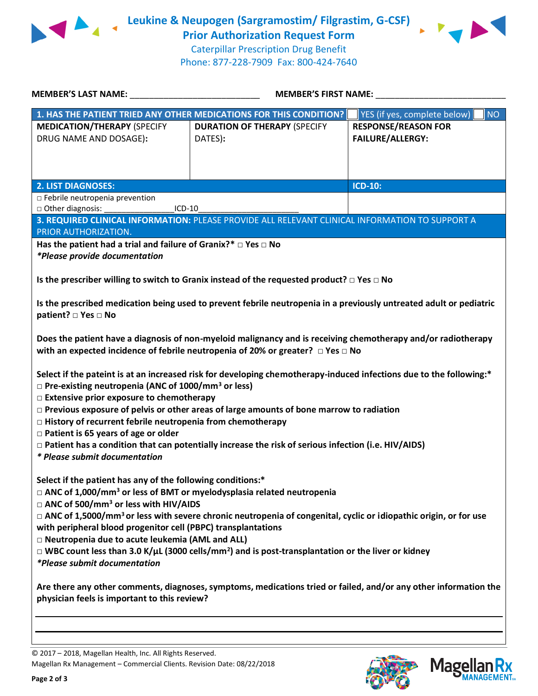

**Leukine & Neupogen (Sargramostim/ Filgrastim, G-CSF) Prior Authorization Request Form**



Caterpillar Prescription Drug Benefit Phone: 877-228-7909 Fax: 800-424-7640

| MEMBER'S LAST NAME:                                                                                                                                                                                                                                                                                                                                                                                                                                                                                                                                                                                                                       | <b>MEMBER'S FIRST NAME:</b>                                                                     |                                                       |  |  |
|-------------------------------------------------------------------------------------------------------------------------------------------------------------------------------------------------------------------------------------------------------------------------------------------------------------------------------------------------------------------------------------------------------------------------------------------------------------------------------------------------------------------------------------------------------------------------------------------------------------------------------------------|-------------------------------------------------------------------------------------------------|-------------------------------------------------------|--|--|
|                                                                                                                                                                                                                                                                                                                                                                                                                                                                                                                                                                                                                                           | 1. HAS THE PATIENT TRIED ANY OTHER MEDICATIONS FOR THIS CONDITION?                              | <b>NO</b><br>YES (if yes, complete below)             |  |  |
| <b>MEDICATION/THERAPY (SPECIFY</b><br>DRUG NAME AND DOSAGE):                                                                                                                                                                                                                                                                                                                                                                                                                                                                                                                                                                              | <b>DURATION OF THERAPY (SPECIFY</b><br>DATES):                                                  | <b>RESPONSE/REASON FOR</b><br><b>FAILURE/ALLERGY:</b> |  |  |
| <b>2. LIST DIAGNOSES:</b>                                                                                                                                                                                                                                                                                                                                                                                                                                                                                                                                                                                                                 |                                                                                                 | <b>ICD-10:</b>                                        |  |  |
| □ Febrile neutropenia prevention<br>□ Other diagnosis:<br>$ICD-10$                                                                                                                                                                                                                                                                                                                                                                                                                                                                                                                                                                        |                                                                                                 |                                                       |  |  |
| PRIOR AUTHORIZATION.                                                                                                                                                                                                                                                                                                                                                                                                                                                                                                                                                                                                                      | 3. REQUIRED CLINICAL INFORMATION: PLEASE PROVIDE ALL RELEVANT CLINICAL INFORMATION TO SUPPORT A |                                                       |  |  |
| Has the patient had a trial and failure of Granix?* $\square$ Yes $\square$ No<br>*Please provide documentation<br>Is the prescriber willing to switch to Granix instead of the requested product? $\square$ Yes $\square$ No                                                                                                                                                                                                                                                                                                                                                                                                             |                                                                                                 |                                                       |  |  |
| Is the prescribed medication being used to prevent febrile neutropenia in a previously untreated adult or pediatric<br>patient? □ Yes □ No                                                                                                                                                                                                                                                                                                                                                                                                                                                                                                |                                                                                                 |                                                       |  |  |
| Does the patient have a diagnosis of non-myeloid malignancy and is receiving chemotherapy and/or radiotherapy<br>with an expected incidence of febrile neutropenia of 20% or greater? $\Box$ Yes $\Box$ No                                                                                                                                                                                                                                                                                                                                                                                                                                |                                                                                                 |                                                       |  |  |
| Select if the pateint is at an increased risk for developing chemotherapy-induced infections due to the following:*<br>$\Box$ Pre-existing neutropenia (ANC of 1000/mm <sup>3</sup> or less)<br>□ Extensive prior exposure to chemotherapy<br>$\Box$ Previous exposure of pelvis or other areas of large amounts of bone marrow to radiation<br>$\Box$ History of recurrent febrile neutropenia from chemotherapy<br>$\Box$ Patient is 65 years of age or older<br>$\Box$ Patient has a condition that can potentially increase the risk of serious infection (i.e. HIV/AIDS)<br>* Please submit documentation                            |                                                                                                 |                                                       |  |  |
| Select if the patient has any of the following conditions:*<br>$\Box$ ANC of 1,000/mm <sup>3</sup> or less of BMT or myelodysplasia related neutropenia<br>□ ANC of 500/mm <sup>3</sup> or less with HIV/AIDS<br>$\Box$ ANC of 1,5000/mm <sup>3</sup> or less with severe chronic neutropenia of congenital, cyclic or idiopathic origin, or for use<br>with peripheral blood progenitor cell (PBPC) transplantations<br>□ Neutropenia due to acute leukemia (AML and ALL)<br>$\Box$ WBC count less than 3.0 K/µL (3000 cells/mm <sup>2</sup> ) and is post-transplantation or the liver or kidney<br><i>*Please submit documentation</i> |                                                                                                 |                                                       |  |  |
| Are there any other comments, diagnoses, symptoms, medications tried or failed, and/or any other information the<br>physician feels is important to this review?                                                                                                                                                                                                                                                                                                                                                                                                                                                                          |                                                                                                 |                                                       |  |  |
|                                                                                                                                                                                                                                                                                                                                                                                                                                                                                                                                                                                                                                           |                                                                                                 |                                                       |  |  |

© 2017 – 2018, Magellan Health, Inc. All Rights Reserved. Magellan Rx Management – Commercial Clients. Revision Date: 08/22/2018